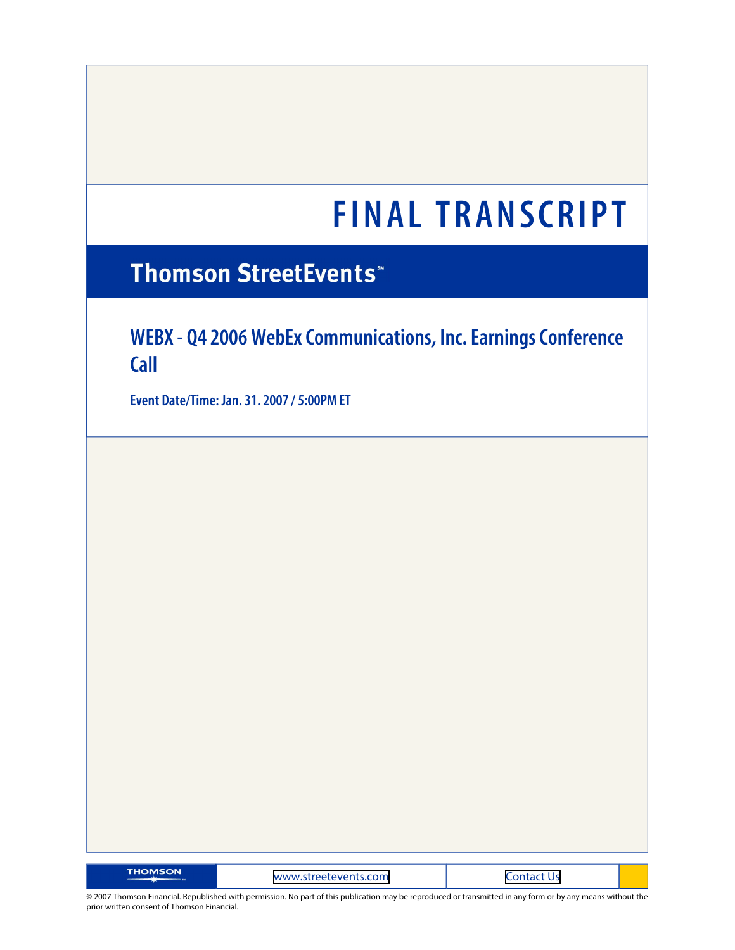# **Thomson StreetEvents**\*

# **WEBX - Q4 2006 WebEx Communications, Inc. Earnings Conference Call**

**Event Date/Time: Jan. 31. 2007 / 5:00PM ET**

| <b>THOMSON</b> | www.streetevents.com |  |
|----------------|----------------------|--|
|                |                      |  |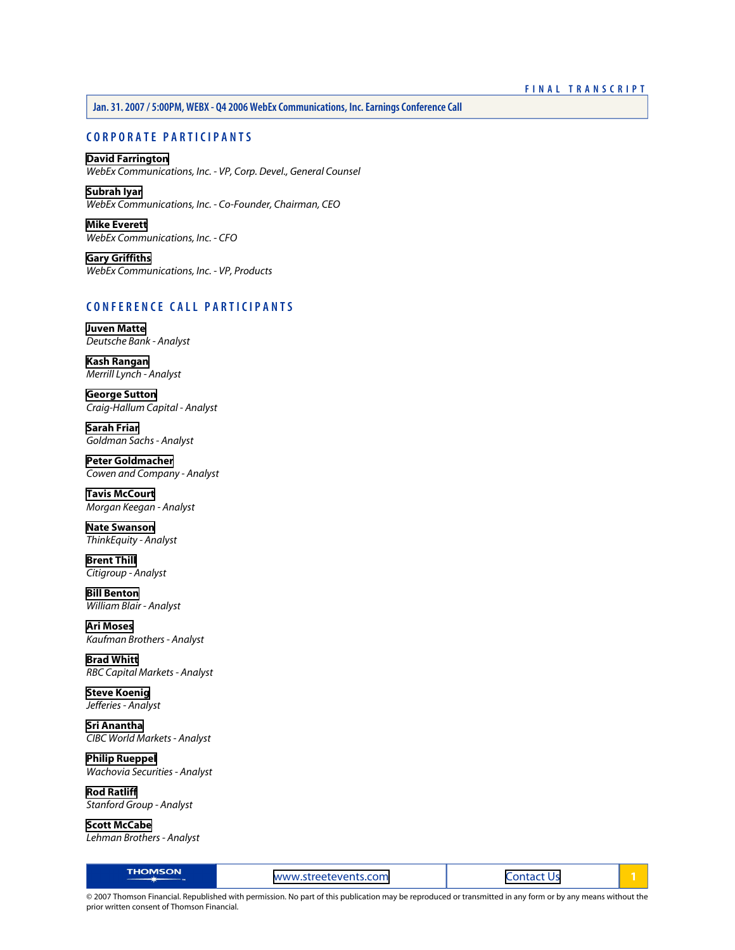# **CORPORATE PARTICIPANTS**

# **[David Farrington](#page-2-0)**

*WebEx Communications, Inc. - VP, Corp. Devel., General Counsel*

**[Subrah Iyar](#page-2-1)** *WebEx Communications, Inc. - Co-Founder, Chairman, CEO*

**[Mike Everett](#page-3-0)** *WebEx Communications, Inc. - CFO*

**[Gary Griffiths](#page-5-0)** *WebEx Communications, Inc. - VP, Products*

# **CONFERENCE CALL PARTICIPANTS**

**[Juven Matte](#page-7-0)** *Deutsche Bank - Analyst*

**[Kash Rangan](#page-8-0)** *Merrill Lynch - Analyst*

**[George Sutton](#page-10-0)** *Craig-Hallum Capital - Analyst*

**[Sarah Friar](#page-11-0)** *Goldman Sachs - Analyst*

**[Peter Goldmacher](#page-13-0)** *Cowen and Company - Analyst*

**[Tavis McCourt](#page-14-0)** *Morgan Keegan - Analyst*

**[Nate Swanson](#page-15-0)** *ThinkEquity - Analyst*

**[Brent Thill](#page-15-1)** *Citigroup - Analyst*

**[Bill Benton](#page-16-0)** *William Blair - Analyst*

**[Ari Moses](#page-16-1)** *Kaufman Brothers - Analyst*

**[Brad Whitt](#page-17-0)** *RBC Capital Markets - Analyst*

**[Steve Koenig](#page-18-0)** *Jefferies - Analyst*

**[Sri Anantha](#page-18-1)** *CIBC World Markets - Analyst*

**[Philip Rueppel](#page-19-0)** *Wachovia Securities - Analyst*

**[Rod Ratliff](#page-19-1)** *Stanford Group - Analyst*

**[Scott McCabe](#page-19-2)** *Lehman Brothers - Analyst*

| <b>THOMSON</b><br>www.streetevents.com | Lontact Us |  |
|----------------------------------------|------------|--|
|----------------------------------------|------------|--|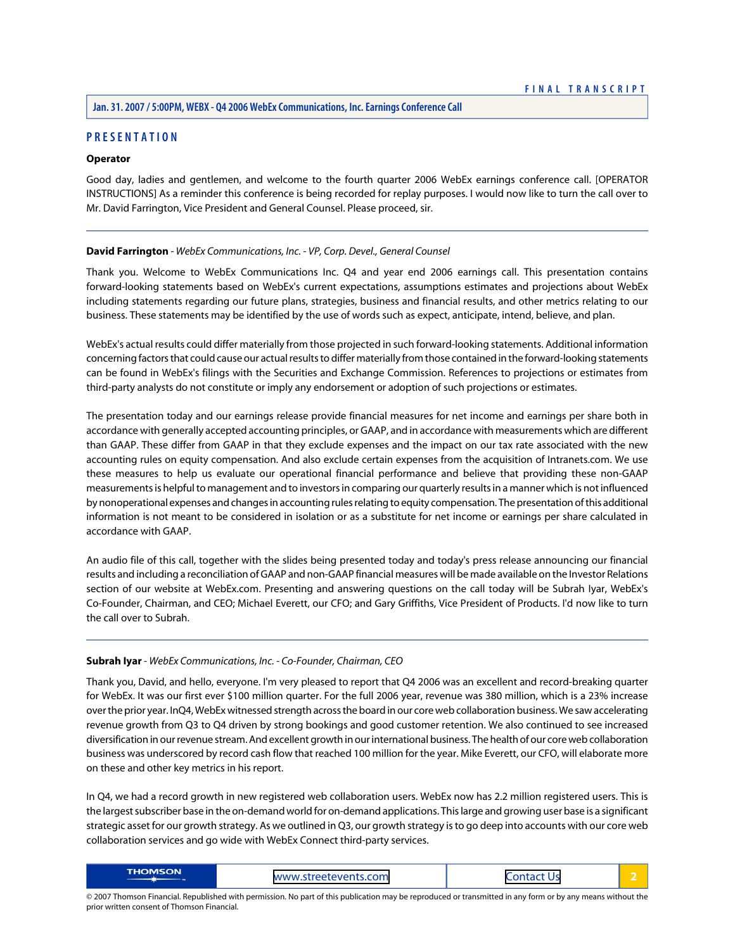# **PRESENTATION**

# **Operator**

Good day, ladies and gentlemen, and welcome to the fourth quarter 2006 WebEx earnings conference call. [OPERATOR INSTRUCTIONS] As a reminder this conference is being recorded for replay purposes. I would now like to turn the call over to Mr. David Farrington, Vice President and General Counsel. Please proceed, sir.

#### <span id="page-2-0"></span>**David Farrington** *- WebEx Communications, Inc. - VP, Corp. Devel., General Counsel*

Thank you. Welcome to WebEx Communications Inc. Q4 and year end 2006 earnings call. This presentation contains forward-looking statements based on WebEx's current expectations, assumptions estimates and projections about WebEx including statements regarding our future plans, strategies, business and financial results, and other metrics relating to our business. These statements may be identified by the use of words such as expect, anticipate, intend, believe, and plan.

WebEx's actual results could differ materially from those projected in such forward-looking statements. Additional information concerning factors that could cause our actual results to differ materially from those contained in the forward-looking statements can be found in WebEx's filings with the Securities and Exchange Commission. References to projections or estimates from third-party analysts do not constitute or imply any endorsement or adoption of such projections or estimates.

The presentation today and our earnings release provide financial measures for net income and earnings per share both in accordance with generally accepted accounting principles, or GAAP, and in accordance with measurements which are different than GAAP. These differ from GAAP in that they exclude expenses and the impact on our tax rate associated with the new accounting rules on equity compensation. And also exclude certain expenses from the acquisition of Intranets.com. We use these measures to help us evaluate our operational financial performance and believe that providing these non-GAAP measurements is helpful to management and to investors in comparing our quarterly results in a manner which is not influenced by nonoperational expenses and changes in accounting rules relating to equity compensation. The presentation of this additional information is not meant to be considered in isolation or as a substitute for net income or earnings per share calculated in accordance with GAAP.

<span id="page-2-1"></span>An audio file of this call, together with the slides being presented today and today's press release announcing our financial results and including a reconciliation of GAAP and non-GAAP financial measures will be made available on the Investor Relations section of our website at WebEx.com. Presenting and answering questions on the call today will be Subrah Iyar, WebEx's Co-Founder, Chairman, and CEO; Michael Everett, our CFO; and Gary Griffiths, Vice President of Products. I'd now like to turn the call over to Subrah.

#### **Subrah Iyar** *- WebEx Communications, Inc. - Co-Founder, Chairman, CEO*

Thank you, David, and hello, everyone. I'm very pleased to report that Q4 2006 was an excellent and record-breaking quarter for WebEx. It was our first ever \$100 million quarter. For the full 2006 year, revenue was 380 million, which is a 23% increase over the prior year. InQ4, WebEx witnessed strength across the board in our core web collaboration business. We saw accelerating revenue growth from Q3 to Q4 driven by strong bookings and good customer retention. We also continued to see increased diversification in our revenue stream. And excellent growth in our international business. The health of our core web collaboration business was underscored by record cash flow that reached 100 million for the year. Mike Everett, our CFO, will elaborate more on these and other key metrics in his report.

In Q4, we had a record growth in new registered web collaboration users. WebEx now has 2.2 million registered users. This is the largest subscriber base in the on-demand world for on-demand applications. This large and growing user base is a significant strategic asset for our growth strategy. As we outlined in Q3, our growth strategy is to go deep into accounts with our core web collaboration services and go wide with WebEx Connect third-party services.

| <b>THOMSON</b> | streetevents.com./<br><b>MANAIN</b> | _ _ _ _ _ _<br>__ |  |
|----------------|-------------------------------------|-------------------|--|
|----------------|-------------------------------------|-------------------|--|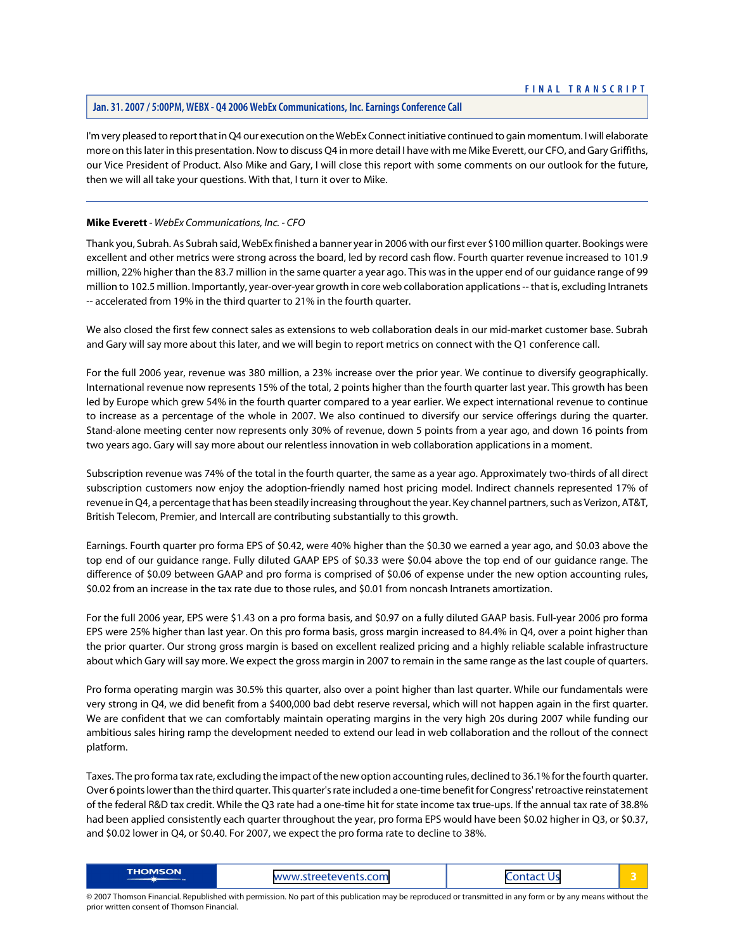I'm very pleased to report that in Q4 our execution on the WebEx Connect initiative continued to gain momentum. I will elaborate more on this later in this presentation. Now to discuss Q4 in more detail I have with me Mike Everett, our CFO, and Gary Griffiths, our Vice President of Product. Also Mike and Gary, I will close this report with some comments on our outlook for the future, then we will all take your questions. With that, I turn it over to Mike.

# <span id="page-3-0"></span>**Mike Everett** *- WebEx Communications, Inc. - CFO*

Thank you, Subrah. As Subrah said, WebEx finished a banner year in 2006 with our first ever \$100 million quarter. Bookings were excellent and other metrics were strong across the board, led by record cash flow. Fourth quarter revenue increased to 101.9 million, 22% higher than the 83.7 million in the same quarter a year ago. This was in the upper end of our guidance range of 99 million to 102.5 million. Importantly, year-over-year growth in core web collaboration applications -- that is, excluding Intranets -- accelerated from 19% in the third quarter to 21% in the fourth quarter.

We also closed the first few connect sales as extensions to web collaboration deals in our mid-market customer base. Subrah and Gary will say more about this later, and we will begin to report metrics on connect with the Q1 conference call.

For the full 2006 year, revenue was 380 million, a 23% increase over the prior year. We continue to diversify geographically. International revenue now represents 15% of the total, 2 points higher than the fourth quarter last year. This growth has been led by Europe which grew 54% in the fourth quarter compared to a year earlier. We expect international revenue to continue to increase as a percentage of the whole in 2007. We also continued to diversify our service offerings during the quarter. Stand-alone meeting center now represents only 30% of revenue, down 5 points from a year ago, and down 16 points from two years ago. Gary will say more about our relentless innovation in web collaboration applications in a moment.

Subscription revenue was 74% of the total in the fourth quarter, the same as a year ago. Approximately two-thirds of all direct subscription customers now enjoy the adoption-friendly named host pricing model. Indirect channels represented 17% of revenue in Q4, a percentage that has been steadily increasing throughout the year. Key channel partners, such as Verizon, AT&T, British Telecom, Premier, and Intercall are contributing substantially to this growth.

Earnings. Fourth quarter pro forma EPS of \$0.42, were 40% higher than the \$0.30 we earned a year ago, and \$0.03 above the top end of our guidance range. Fully diluted GAAP EPS of \$0.33 were \$0.04 above the top end of our guidance range. The difference of \$0.09 between GAAP and pro forma is comprised of \$0.06 of expense under the new option accounting rules, \$0.02 from an increase in the tax rate due to those rules, and \$0.01 from noncash Intranets amortization.

For the full 2006 year, EPS were \$1.43 on a pro forma basis, and \$0.97 on a fully diluted GAAP basis. Full-year 2006 pro forma EPS were 25% higher than last year. On this pro forma basis, gross margin increased to 84.4% in Q4, over a point higher than the prior quarter. Our strong gross margin is based on excellent realized pricing and a highly reliable scalable infrastructure about which Gary will say more. We expect the gross margin in 2007 to remain in the same range as the last couple of quarters.

Pro forma operating margin was 30.5% this quarter, also over a point higher than last quarter. While our fundamentals were very strong in Q4, we did benefit from a \$400,000 bad debt reserve reversal, which will not happen again in the first quarter. We are confident that we can comfortably maintain operating margins in the very high 20s during 2007 while funding our ambitious sales hiring ramp the development needed to extend our lead in web collaboration and the rollout of the connect platform.

Taxes. The pro forma tax rate, excluding the impact of the new option accounting rules, declined to 36.1% for the fourth quarter. Over 6 points lower than the third quarter. This quarter's rate included a one-time benefit for Congress' retroactive reinstatement of the federal R&D tax credit. While the Q3 rate had a one-time hit for state income tax true-ups. If the annual tax rate of 38.8% had been applied consistently each quarter throughout the year, pro forma EPS would have been \$0.02 higher in Q3, or \$0.37, and \$0.02 lower in Q4, or \$0.40. For 2007, we expect the pro forma rate to decline to 38%.

| <b>THOMSON</b> | treetevents.com<br><b>WWW</b><br>ureelevenis<br>_________ | __<br>--<br>-<br>. .<br>__<br>_ _ _ _ _ _ |  |
|----------------|-----------------------------------------------------------|-------------------------------------------|--|
|----------------|-----------------------------------------------------------|-------------------------------------------|--|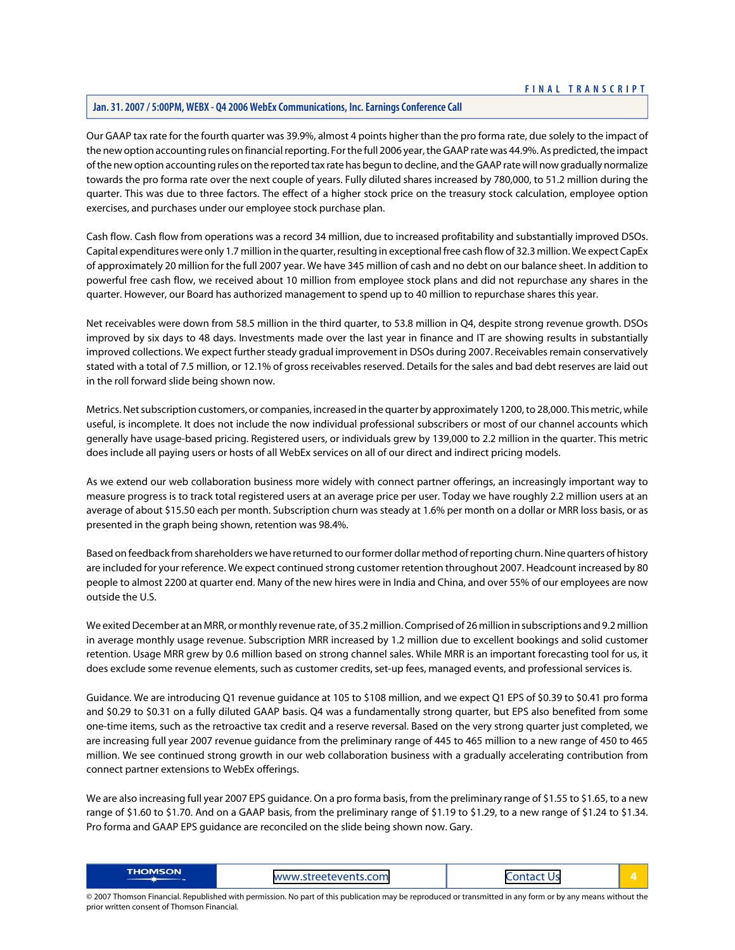# **Jan. 31. 2007 / 5:00PM, WEBX - Q4 2006 WebEx Communications, Inc. Earnings Conference Call**

Our GAAP tax rate for the fourth quarter was 39.9%, almost 4 points higher than the pro forma rate, due solely to the impact of the new option accounting rules on financial reporting. For the full 2006 year, the GAAP rate was 44.9%. As predicted, the impact of the new option accounting rules on the reported tax rate has begun to decline, and the GAAP rate will now gradually normalize towards the pro forma rate over the next couple of years. Fully diluted shares increased by 780,000, to 51.2 million during the quarter. This was due to three factors. The effect of a higher stock price on the treasury stock calculation, employee option exercises, and purchases under our employee stock purchase plan.

Cash flow. Cash flow from operations was a record 34 million, due to increased profitability and substantially improved DSOs. Capital expenditures were only 1.7 million in the quarter, resulting in exceptional free cash flow of 32.3 million. We expect CapEx of approximately 20 million for the full 2007 year. We have 345 million of cash and no debt on our balance sheet. In addition to powerful free cash flow, we received about 10 million from employee stock plans and did not repurchase any shares in the quarter. However, our Board has authorized management to spend up to 40 million to repurchase shares this year.

Net receivables were down from 58.5 million in the third quarter, to 53.8 million in Q4, despite strong revenue growth. DSOs improved by six days to 48 days. Investments made over the last year in finance and IT are showing results in substantially improved collections. We expect further steady gradual improvement in DSOs during 2007. Receivables remain conservatively stated with a total of 7.5 million, or 12.1% of gross receivables reserved. Details for the sales and bad debt reserves are laid out in the roll forward slide being shown now.

Metrics. Net subscription customers, or companies, increased in the quarter by approximately 1200, to 28,000. This metric, while useful, is incomplete. It does not include the now individual professional subscribers or most of our channel accounts which generally have usage-based pricing. Registered users, or individuals grew by 139,000 to 2.2 million in the quarter. This metric does include all paying users or hosts of all WebEx services on all of our direct and indirect pricing models.

As we extend our web collaboration business more widely with connect partner offerings, an increasingly important way to measure progress is to track total registered users at an average price per user. Today we have roughly 2.2 million users at an average of about \$15.50 each per month. Subscription churn was steady at 1.6% per month on a dollar or MRR loss basis, or as presented in the graph being shown, retention was 98.4%.

Based on feedback from shareholders we have returned to our former dollar method of reporting churn. Nine quarters of history are included for your reference. We expect continued strong customer retention throughout 2007. Headcount increased by 80 people to almost 2200 at quarter end. Many of the new hires were in India and China, and over 55% of our employees are now outside the U.S.

We exited December at an MRR, or monthly revenue rate, of 35.2 million. Comprised of 26 million in subscriptions and 9.2 million in average monthly usage revenue. Subscription MRR increased by 1.2 million due to excellent bookings and solid customer retention. Usage MRR grew by 0.6 million based on strong channel sales. While MRR is an important forecasting tool for us, it does exclude some revenue elements, such as customer credits, set-up fees, managed events, and professional services is.

Guidance. We are introducing Q1 revenue guidance at 105 to \$108 million, and we expect Q1 EPS of \$0.39 to \$0.41 pro forma and \$0.29 to \$0.31 on a fully diluted GAAP basis. Q4 was a fundamentally strong quarter, but EPS also benefited from some one-time items, such as the retroactive tax credit and a reserve reversal. Based on the very strong quarter just completed, we are increasing full year 2007 revenue guidance from the preliminary range of 445 to 465 million to a new range of 450 to 465 million. We see continued strong growth in our web collaboration business with a gradually accelerating contribution from connect partner extensions to WebEx offerings.

We are also increasing full year 2007 EPS guidance. On a pro forma basis, from the preliminary range of \$1.55 to \$1.65, to a new range of \$1.60 to \$1.70. And on a GAAP basis, from the preliminary range of \$1.19 to \$1.29, to a new range of \$1.24 to \$1.34. Pro forma and GAAP EPS guidance are reconciled on the slide being shown now. Gary.

| <b>THOMSON</b> | www.streetevents.com | .<br>ັ |  |
|----------------|----------------------|--------|--|
|----------------|----------------------|--------|--|

<sup>© 2007</sup> Thomson Financial. Republished with permission. No part of this publication may be reproduced or transmitted in any form or by any means without the prior written consent of Thomson Financial.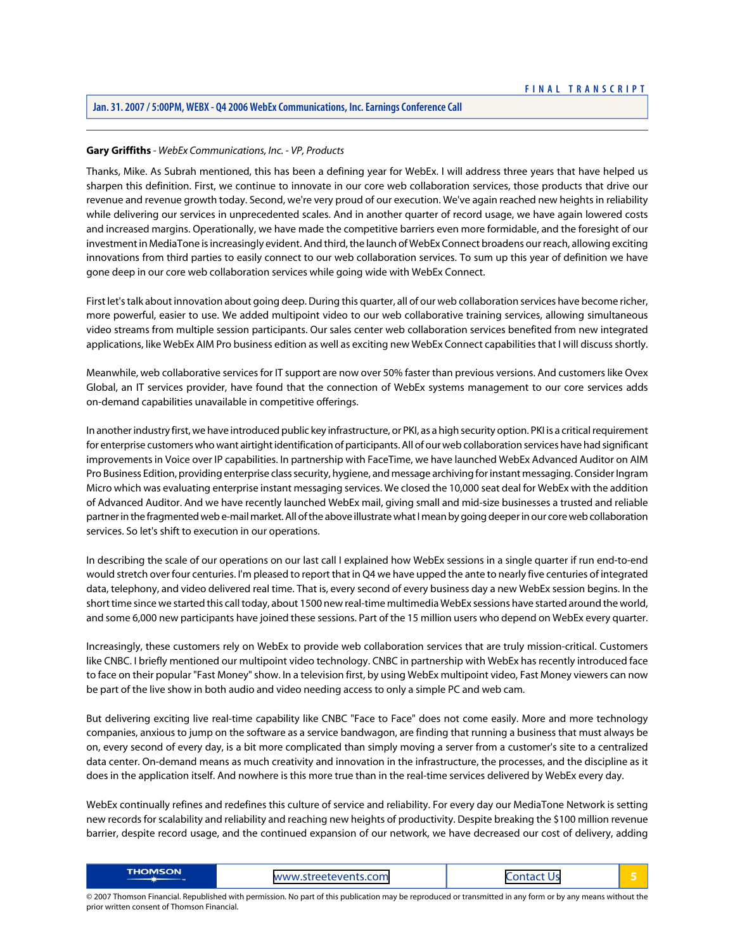# <span id="page-5-0"></span>**Gary Griffiths** *- WebEx Communications, Inc. - VP, Products*

Thanks, Mike. As Subrah mentioned, this has been a defining year for WebEx. I will address three years that have helped us sharpen this definition. First, we continue to innovate in our core web collaboration services, those products that drive our revenue and revenue growth today. Second, we're very proud of our execution. We've again reached new heights in reliability while delivering our services in unprecedented scales. And in another quarter of record usage, we have again lowered costs and increased margins. Operationally, we have made the competitive barriers even more formidable, and the foresight of our investment in MediaTone is increasingly evident. And third, the launch of WebEx Connect broadens our reach, allowing exciting innovations from third parties to easily connect to our web collaboration services. To sum up this year of definition we have gone deep in our core web collaboration services while going wide with WebEx Connect.

First let's talk about innovation about going deep. During this quarter, all of our web collaboration services have become richer, more powerful, easier to use. We added multipoint video to our web collaborative training services, allowing simultaneous video streams from multiple session participants. Our sales center web collaboration services benefited from new integrated applications, like WebEx AIM Pro business edition as well as exciting new WebEx Connect capabilities that I will discuss shortly.

Meanwhile, web collaborative services for IT support are now over 50% faster than previous versions. And customers like Ovex Global, an IT services provider, have found that the connection of WebEx systems management to our core services adds on-demand capabilities unavailable in competitive offerings.

In another industry first, we have introduced public key infrastructure, or PKI, as a high security option. PKI is a critical requirement for enterprise customers who want airtight identification of participants. All of our web collaboration services have had significant improvements in Voice over IP capabilities. In partnership with FaceTime, we have launched WebEx Advanced Auditor on AIM Pro Business Edition, providing enterprise class security, hygiene, and message archiving for instant messaging. Consider Ingram Micro which was evaluating enterprise instant messaging services. We closed the 10,000 seat deal for WebEx with the addition of Advanced Auditor. And we have recently launched WebEx mail, giving small and mid-size businesses a trusted and reliable partner in the fragmented web e-mail market. All of the above illustrate what I mean by going deeper in our core web collaboration services. So let's shift to execution in our operations.

In describing the scale of our operations on our last call I explained how WebEx sessions in a single quarter if run end-to-end would stretch over four centuries. I'm pleased to report that in Q4 we have upped the ante to nearly five centuries of integrated data, telephony, and video delivered real time. That is, every second of every business day a new WebEx session begins. In the short time since we started this call today, about 1500 new real-time multimedia WebEx sessions have started around the world, and some 6,000 new participants have joined these sessions. Part of the 15 million users who depend on WebEx every quarter.

Increasingly, these customers rely on WebEx to provide web collaboration services that are truly mission-critical. Customers like CNBC. I briefly mentioned our multipoint video technology. CNBC in partnership with WebEx has recently introduced face to face on their popular "Fast Money" show. In a television first, by using WebEx multipoint video, Fast Money viewers can now be part of the live show in both audio and video needing access to only a simple PC and web cam.

But delivering exciting live real-time capability like CNBC "Face to Face" does not come easily. More and more technology companies, anxious to jump on the software as a service bandwagon, are finding that running a business that must always be on, every second of every day, is a bit more complicated than simply moving a server from a customer's site to a centralized data center. On-demand means as much creativity and innovation in the infrastructure, the processes, and the discipline as it does in the application itself. And nowhere is this more true than in the real-time services delivered by WebEx every day.

WebEx continually refines and redefines this culture of service and reliability. For every day our MediaTone Network is setting new records for scalability and reliability and reaching new heights of productivity. Despite breaking the \$100 million revenue barrier, despite record usage, and the continued expansion of our network, we have decreased our cost of delivery, adding

| <b>THOMSON</b> | com<br><b>MANAZIAL</b><br>------<br>$\sim$ iree.<br>$\overline{\phantom{a}}$ | _____ |  |
|----------------|------------------------------------------------------------------------------|-------|--|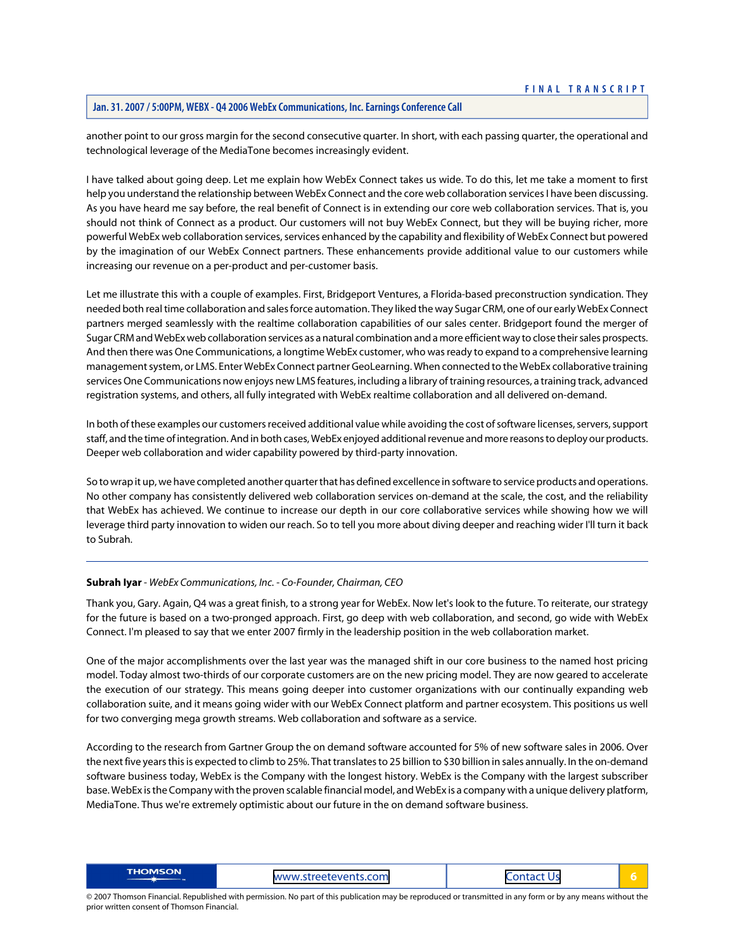another point to our gross margin for the second consecutive quarter. In short, with each passing quarter, the operational and technological leverage of the MediaTone becomes increasingly evident.

I have talked about going deep. Let me explain how WebEx Connect takes us wide. To do this, let me take a moment to first help you understand the relationship between WebEx Connect and the core web collaboration services I have been discussing. As you have heard me say before, the real benefit of Connect is in extending our core web collaboration services. That is, you should not think of Connect as a product. Our customers will not buy WebEx Connect, but they will be buying richer, more powerful WebEx web collaboration services, services enhanced by the capability and flexibility of WebEx Connect but powered by the imagination of our WebEx Connect partners. These enhancements provide additional value to our customers while increasing our revenue on a per-product and per-customer basis.

Let me illustrate this with a couple of examples. First, Bridgeport Ventures, a Florida-based preconstruction syndication. They needed both real time collaboration and sales force automation. They liked the way Sugar CRM, one of our early WebEx Connect partners merged seamlessly with the realtime collaboration capabilities of our sales center. Bridgeport found the merger of Sugar CRM and WebEx web collaboration services as a natural combination and a more efficient way to close their sales prospects. And then there was One Communications, a longtime WebEx customer, who was ready to expand to a comprehensive learning management system, or LMS. Enter WebEx Connect partner GeoLearning. When connected to the WebEx collaborative training services One Communications now enjoys new LMS features, including a library of training resources, a training track, advanced registration systems, and others, all fully integrated with WebEx realtime collaboration and all delivered on-demand.

In both of these examples our customers received additional value while avoiding the cost of software licenses, servers, support staff, and the time of integration. And in both cases, WebEx enjoyed additional revenue and more reasons to deploy our products. Deeper web collaboration and wider capability powered by third-party innovation.

So to wrap it up, we have completed another quarter that has defined excellence in software to service products and operations. No other company has consistently delivered web collaboration services on-demand at the scale, the cost, and the reliability that WebEx has achieved. We continue to increase our depth in our core collaborative services while showing how we will leverage third party innovation to widen our reach. So to tell you more about diving deeper and reaching wider I'll turn it back to Subrah.

#### **Subrah Iyar** *- WebEx Communications, Inc. - Co-Founder, Chairman, CEO*

Thank you, Gary. Again, Q4 was a great finish, to a strong year for WebEx. Now let's look to the future. To reiterate, our strategy for the future is based on a two-pronged approach. First, go deep with web collaboration, and second, go wide with WebEx Connect. I'm pleased to say that we enter 2007 firmly in the leadership position in the web collaboration market.

One of the major accomplishments over the last year was the managed shift in our core business to the named host pricing model. Today almost two-thirds of our corporate customers are on the new pricing model. They are now geared to accelerate the execution of our strategy. This means going deeper into customer organizations with our continually expanding web collaboration suite, and it means going wider with our WebEx Connect platform and partner ecosystem. This positions us well for two converging mega growth streams. Web collaboration and software as a service.

According to the research from Gartner Group the on demand software accounted for 5% of new software sales in 2006. Over the next five years this is expected to climb to 25%. That translates to 25 billion to \$30 billion in sales annually. In the on-demand software business today, WebEx is the Company with the longest history. WebEx is the Company with the largest subscriber base. WebEx is the Company with the proven scalable financial model, and WebEx is a company with a unique delivery platform, MediaTone. Thus we're extremely optimistic about our future in the on demand software business.

| <b>THOMSON</b> | www.streetevents.com | . ontact l'<br>U. |  |
|----------------|----------------------|-------------------|--|
|----------------|----------------------|-------------------|--|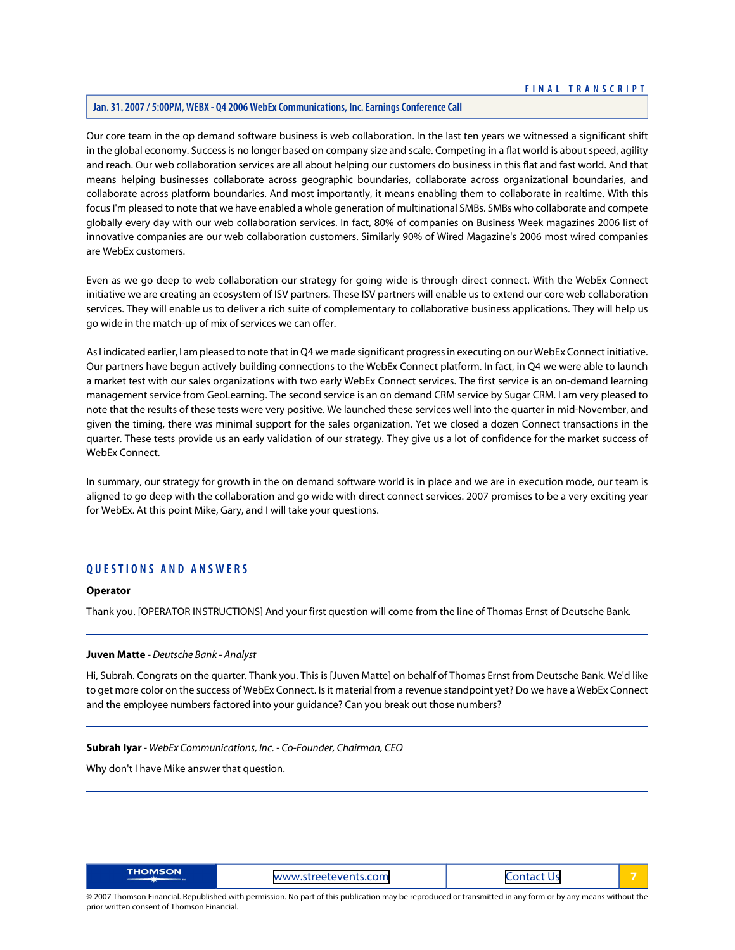# **Jan. 31. 2007 / 5:00PM, WEBX - Q4 2006 WebEx Communications, Inc. Earnings Conference Call**

Our core team in the op demand software business is web collaboration. In the last ten years we witnessed a significant shift in the global economy. Success is no longer based on company size and scale. Competing in a flat world is about speed, agility and reach. Our web collaboration services are all about helping our customers do business in this flat and fast world. And that means helping businesses collaborate across geographic boundaries, collaborate across organizational boundaries, and collaborate across platform boundaries. And most importantly, it means enabling them to collaborate in realtime. With this focus I'm pleased to note that we have enabled a whole generation of multinational SMBs. SMBs who collaborate and compete globally every day with our web collaboration services. In fact, 80% of companies on Business Week magazines 2006 list of innovative companies are our web collaboration customers. Similarly 90% of Wired Magazine's 2006 most wired companies are WebEx customers.

Even as we go deep to web collaboration our strategy for going wide is through direct connect. With the WebEx Connect initiative we are creating an ecosystem of ISV partners. These ISV partners will enable us to extend our core web collaboration services. They will enable us to deliver a rich suite of complementary to collaborative business applications. They will help us go wide in the match-up of mix of services we can offer.

As I indicated earlier, I am pleased to note that in Q4 we made significant progress in executing on our WebEx Connect initiative. Our partners have begun actively building connections to the WebEx Connect platform. In fact, in Q4 we were able to launch a market test with our sales organizations with two early WebEx Connect services. The first service is an on-demand learning management service from GeoLearning. The second service is an on demand CRM service by Sugar CRM. I am very pleased to note that the results of these tests were very positive. We launched these services well into the quarter in mid-November, and given the timing, there was minimal support for the sales organization. Yet we closed a dozen Connect transactions in the quarter. These tests provide us an early validation of our strategy. They give us a lot of confidence for the market success of WebEx Connect.

In summary, our strategy for growth in the on demand software world is in place and we are in execution mode, our team is aligned to go deep with the collaboration and go wide with direct connect services. 2007 promises to be a very exciting year for WebEx. At this point Mike, Gary, and I will take your questions.

# **QUESTIONS AND ANSWERS**

#### <span id="page-7-0"></span>**Operator**

Thank you. [OPERATOR INSTRUCTIONS] And your first question will come from the line of Thomas Ernst of Deutsche Bank.

#### **Juven Matte** *- Deutsche Bank - Analyst*

Hi, Subrah. Congrats on the quarter. Thank you. This is [Juven Matte] on behalf of Thomas Ernst from Deutsche Bank. We'd like to get more color on the success of WebEx Connect. Is it material from a revenue standpoint yet? Do we have a WebEx Connect and the employee numbers factored into your guidance? Can you break out those numbers?

#### **Subrah Iyar** *- WebEx Communications, Inc. - Co-Founder, Chairman, CEO*

Why don't I have Mike answer that question.

| <b>THOMSON</b> | www.streetevents.com | $\sim$ $\sim$ $\sim$ $\sim$ $\sim$ $\sim$<br>U.<br>$1 - 1$ |  |
|----------------|----------------------|------------------------------------------------------------|--|
|----------------|----------------------|------------------------------------------------------------|--|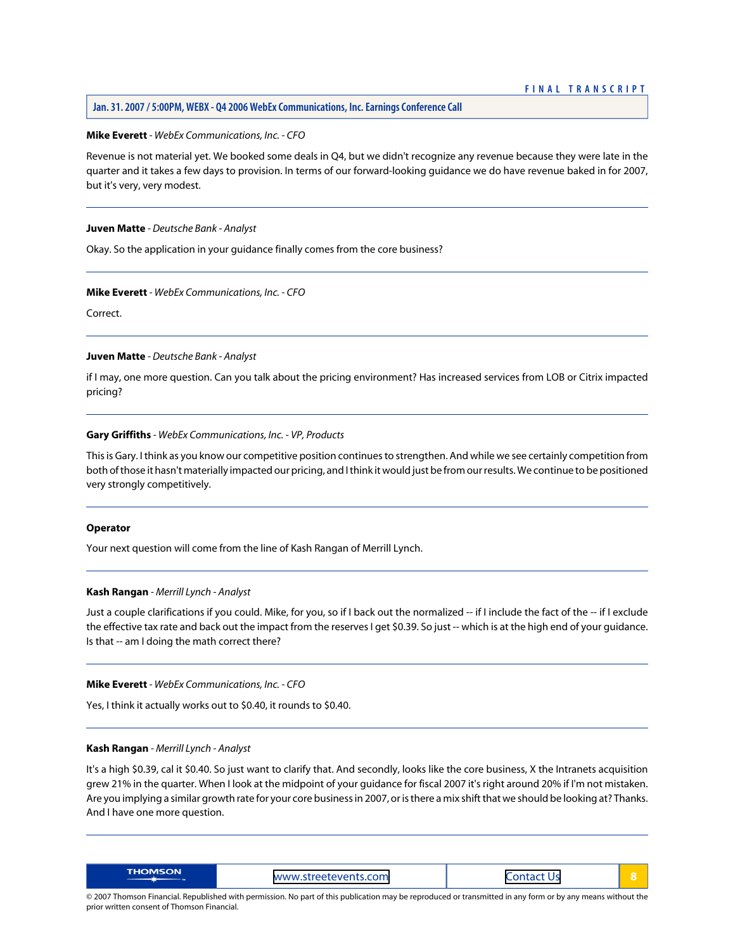#### **Mike Everett** *- WebEx Communications, Inc. - CFO*

Revenue is not material yet. We booked some deals in Q4, but we didn't recognize any revenue because they were late in the quarter and it takes a few days to provision. In terms of our forward-looking guidance we do have revenue baked in for 2007, but it's very, very modest.

#### **Juven Matte** *- Deutsche Bank - Analyst*

Okay. So the application in your guidance finally comes from the core business?

# **Mike Everett** *- WebEx Communications, Inc. - CFO*

Correct.

#### **Juven Matte** *- Deutsche Bank - Analyst*

if I may, one more question. Can you talk about the pricing environment? Has increased services from LOB or Citrix impacted pricing?

#### **Gary Griffiths** *- WebEx Communications, Inc. - VP, Products*

This is Gary. I think as you know our competitive position continues to strengthen. And while we see certainly competition from both of those it hasn't materially impacted our pricing, and I think it would just be from our results. We continue to be positioned very strongly competitively.

#### <span id="page-8-0"></span>**Operator**

Your next question will come from the line of Kash Rangan of Merrill Lynch.

# **Kash Rangan** *- Merrill Lynch - Analyst*

Just a couple clarifications if you could. Mike, for you, so if I back out the normalized -- if I include the fact of the -- if I exclude the effective tax rate and back out the impact from the reserves I get \$0.39. So just -- which is at the high end of your guidance. Is that -- am I doing the math correct there?

#### **Mike Everett** *- WebEx Communications, Inc. - CFO*

Yes, I think it actually works out to \$0.40, it rounds to \$0.40.

#### **Kash Rangan** *- Merrill Lynch - Analyst*

It's a high \$0.39, cal it \$0.40. So just want to clarify that. And secondly, looks like the core business, X the Intranets acquisition grew 21% in the quarter. When I look at the midpoint of your guidance for fiscal 2007 it's right around 20% if I'm not mistaken. Are you implying a similar growth rate for your core business in 2007, or is there a mix shift that we should be looking at? Thanks. And I have one more question.

| <b>THOMSON</b> | www.streetevents.com | ------ |  |
|----------------|----------------------|--------|--|
|----------------|----------------------|--------|--|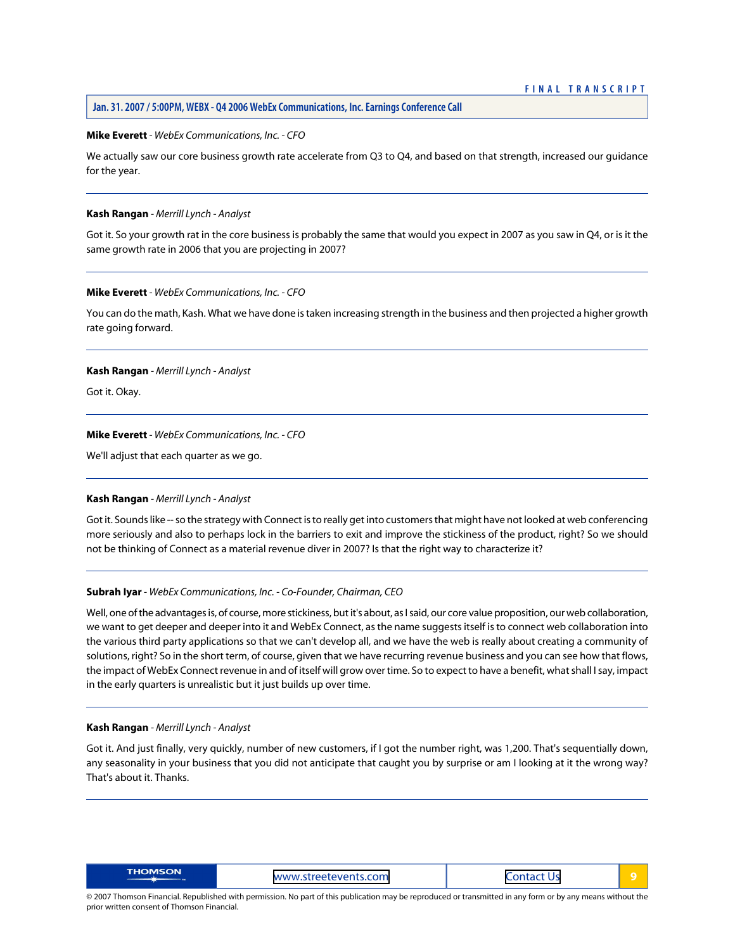#### **Mike Everett** *- WebEx Communications, Inc. - CFO*

We actually saw our core business growth rate accelerate from Q3 to Q4, and based on that strength, increased our guidance for the year.

#### **Kash Rangan** *- Merrill Lynch - Analyst*

Got it. So your growth rat in the core business is probably the same that would you expect in 2007 as you saw in Q4, or is it the same growth rate in 2006 that you are projecting in 2007?

# **Mike Everett** *- WebEx Communications, Inc. - CFO*

You can do the math, Kash. What we have done is taken increasing strength in the business and then projected a higher growth rate going forward.

# **Kash Rangan** *- Merrill Lynch - Analyst*

Got it. Okay.

#### **Mike Everett** *- WebEx Communications, Inc. - CFO*

We'll adjust that each quarter as we go.

#### **Kash Rangan** *- Merrill Lynch - Analyst*

Got it. Sounds like -- so the strategy with Connect is to really get into customers that might have not looked at web conferencing more seriously and also to perhaps lock in the barriers to exit and improve the stickiness of the product, right? So we should not be thinking of Connect as a material revenue diver in 2007? Is that the right way to characterize it?

#### **Subrah Iyar** *- WebEx Communications, Inc. - Co-Founder, Chairman, CEO*

Well, one of the advantages is, of course, more stickiness, but it's about, as I said, our core value proposition, our web collaboration, we want to get deeper and deeper into it and WebEx Connect, as the name suggests itself is to connect web collaboration into the various third party applications so that we can't develop all, and we have the web is really about creating a community of solutions, right? So in the short term, of course, given that we have recurring revenue business and you can see how that flows, the impact of WebEx Connect revenue in and of itself will grow over time. So to expect to have a benefit, what shall I say, impact in the early quarters is unrealistic but it just builds up over time.

#### **Kash Rangan** *- Merrill Lynch - Analyst*

Got it. And just finally, very quickly, number of new customers, if I got the number right, was 1,200. That's sequentially down, any seasonality in your business that you did not anticipate that caught you by surprise or am I looking at it the wrong way? That's about it. Thanks.

|--|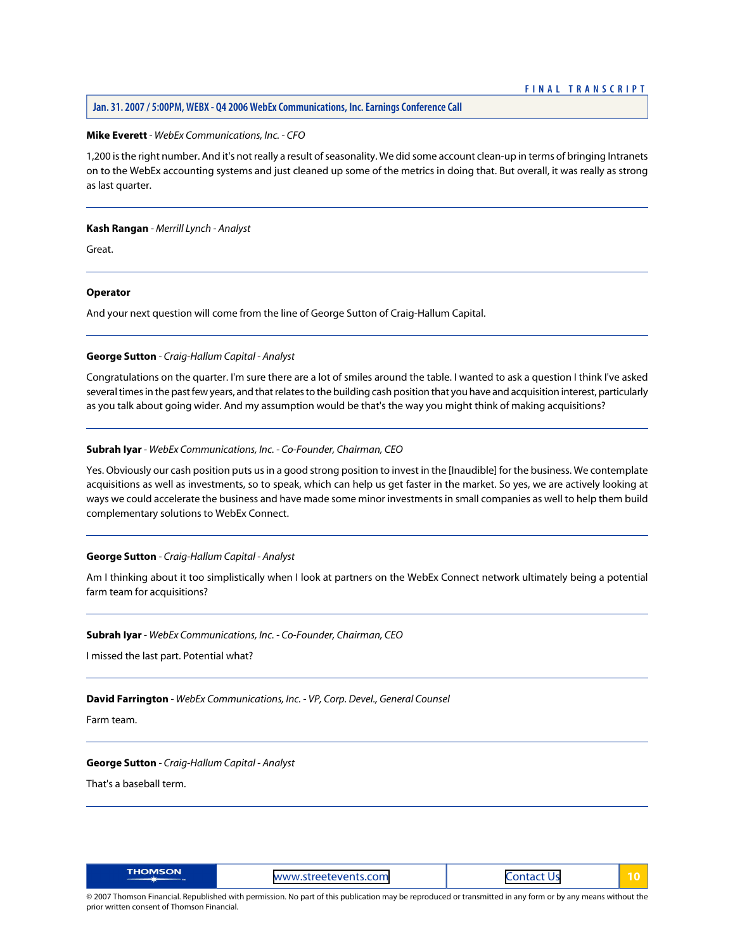#### **Mike Everett** *- WebEx Communications, Inc. - CFO*

1,200 is the right number. And it's not really a result of seasonality. We did some account clean-up in terms of bringing Intranets on to the WebEx accounting systems and just cleaned up some of the metrics in doing that. But overall, it was really as strong as last quarter.

#### **Kash Rangan** *- Merrill Lynch - Analyst*

Great.

#### **Operator**

<span id="page-10-0"></span>And your next question will come from the line of George Sutton of Craig-Hallum Capital.

# **George Sutton** *- Craig-Hallum Capital - Analyst*

Congratulations on the quarter. I'm sure there are a lot of smiles around the table. I wanted to ask a question I think I've asked several times in the past few years, and that relates to the building cash position that you have and acquisition interest, particularly as you talk about going wider. And my assumption would be that's the way you might think of making acquisitions?

#### **Subrah Iyar** *- WebEx Communications, Inc. - Co-Founder, Chairman, CEO*

Yes. Obviously our cash position puts us in a good strong position to invest in the [Inaudible] for the business. We contemplate acquisitions as well as investments, so to speak, which can help us get faster in the market. So yes, we are actively looking at ways we could accelerate the business and have made some minor investments in small companies as well to help them build complementary solutions to WebEx Connect.

#### **George Sutton** *- Craig-Hallum Capital - Analyst*

Am I thinking about it too simplistically when I look at partners on the WebEx Connect network ultimately being a potential farm team for acquisitions?

#### **Subrah Iyar** *- WebEx Communications, Inc. - Co-Founder, Chairman, CEO*

I missed the last part. Potential what?

#### **David Farrington** *- WebEx Communications, Inc. - VP, Corp. Devel., General Counsel*

Farm team.

#### **George Sutton** *- Craig-Hallum Capital - Analyst*

That's a baseball term.

| <b>THOMSON</b><br>www.streetevents.com | . .<br>__<br>_ _ _ _ _ _ |  |
|----------------------------------------|--------------------------|--|
|----------------------------------------|--------------------------|--|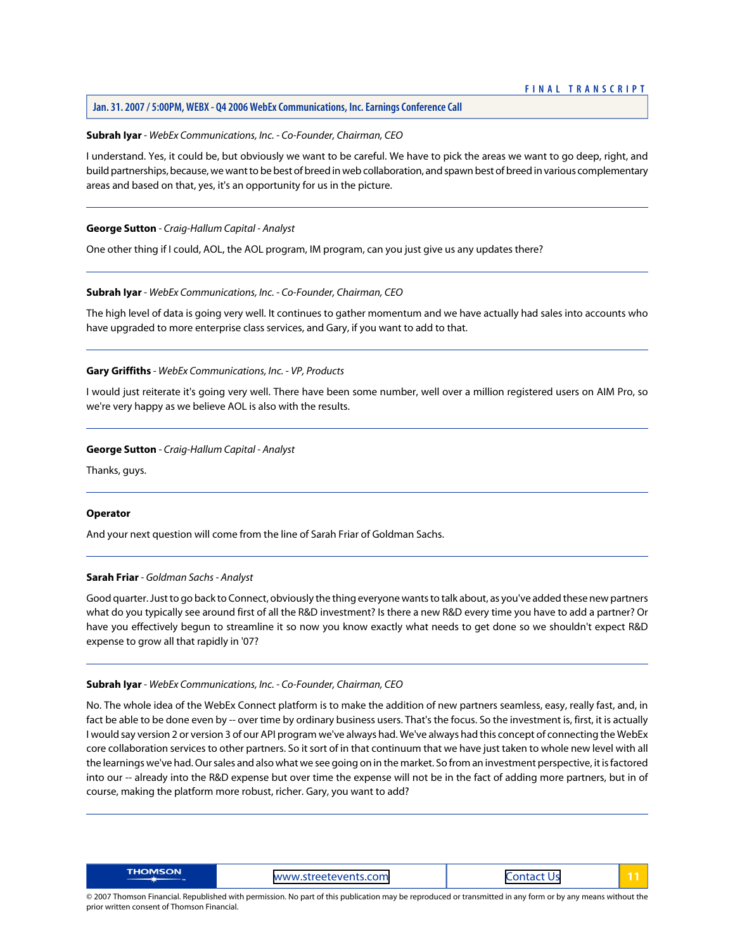#### **Subrah Iyar** *- WebEx Communications, Inc. - Co-Founder, Chairman, CEO*

I understand. Yes, it could be, but obviously we want to be careful. We have to pick the areas we want to go deep, right, and build partnerships, because, we want to be best of breed in web collaboration, and spawn best of breed in various complementary areas and based on that, yes, it's an opportunity for us in the picture.

#### **George Sutton** *- Craig-Hallum Capital - Analyst*

One other thing if I could, AOL, the AOL program, IM program, can you just give us any updates there?

# **Subrah Iyar** *- WebEx Communications, Inc. - Co-Founder, Chairman, CEO*

The high level of data is going very well. It continues to gather momentum and we have actually had sales into accounts who have upgraded to more enterprise class services, and Gary, if you want to add to that.

# **Gary Griffiths** *- WebEx Communications, Inc. - VP, Products*

I would just reiterate it's going very well. There have been some number, well over a million registered users on AIM Pro, so we're very happy as we believe AOL is also with the results.

#### **George Sutton** *- Craig-Hallum Capital - Analyst*

Thanks, guys.

# <span id="page-11-0"></span>**Operator**

And your next question will come from the line of Sarah Friar of Goldman Sachs.

#### **Sarah Friar** *- Goldman Sachs - Analyst*

Good quarter. Just to go back to Connect, obviously the thing everyone wants to talk about, as you've added these new partners what do you typically see around first of all the R&D investment? Is there a new R&D every time you have to add a partner? Or have you effectively begun to streamline it so now you know exactly what needs to get done so we shouldn't expect R&D expense to grow all that rapidly in '07?

#### **Subrah Iyar** *- WebEx Communications, Inc. - Co-Founder, Chairman, CEO*

No. The whole idea of the WebEx Connect platform is to make the addition of new partners seamless, easy, really fast, and, in fact be able to be done even by -- over time by ordinary business users. That's the focus. So the investment is, first, it is actually I would say version 2 or version 3 of our API program we've always had. We've always had this concept of connecting the WebEx core collaboration services to other partners. So it sort of in that continuum that we have just taken to whole new level with all the learnings we've had. Our sales and also what we see going on in the market. So from an investment perspective, it is factored into our -- already into the R&D expense but over time the expense will not be in the fact of adding more partners, but in of course, making the platform more robust, richer. Gary, you want to add?

| THOMSON | www.streetevents.com | .<br><b>CONSTRUCTION</b> |  |
|---------|----------------------|--------------------------|--|
|---------|----------------------|--------------------------|--|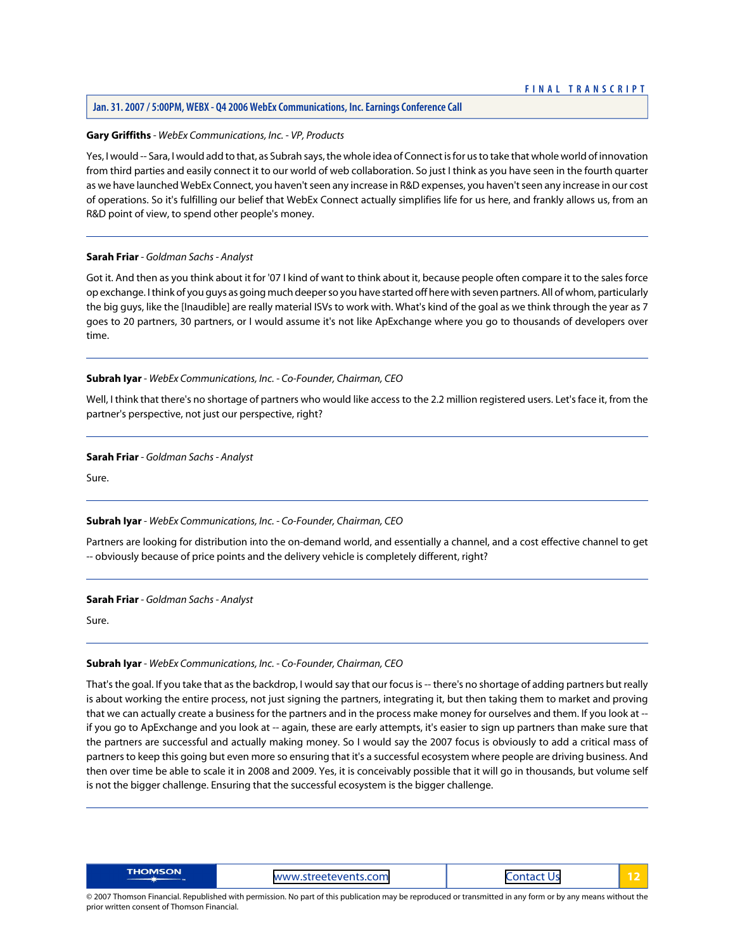#### **Jan. 31. 2007 / 5:00PM, WEBX - Q4 2006 WebEx Communications, Inc. Earnings Conference Call**

#### **Gary Griffiths** *- WebEx Communications, Inc. - VP, Products*

Yes, I would -- Sara, I would add to that, as Subrah says, the whole idea of Connect is for us to take that whole world of innovation from third parties and easily connect it to our world of web collaboration. So just I think as you have seen in the fourth quarter as we have launched WebEx Connect, you haven't seen any increase in R&D expenses, you haven't seen any increase in our cost of operations. So it's fulfilling our belief that WebEx Connect actually simplifies life for us here, and frankly allows us, from an R&D point of view, to spend other people's money.

#### **Sarah Friar** *- Goldman Sachs - Analyst*

Got it. And then as you think about it for '07 I kind of want to think about it, because people often compare it to the sales force op exchange. I think of you guys as going much deeper so you have started off here with seven partners. All of whom, particularly the big guys, like the [Inaudible] are really material ISVs to work with. What's kind of the goal as we think through the year as 7 goes to 20 partners, 30 partners, or I would assume it's not like ApExchange where you go to thousands of developers over time.

#### **Subrah Iyar** *- WebEx Communications, Inc. - Co-Founder, Chairman, CEO*

Well, I think that there's no shortage of partners who would like access to the 2.2 million registered users. Let's face it, from the partner's perspective, not just our perspective, right?

**Sarah Friar** *- Goldman Sachs - Analyst*

Sure.

#### **Subrah Iyar** *- WebEx Communications, Inc. - Co-Founder, Chairman, CEO*

Partners are looking for distribution into the on-demand world, and essentially a channel, and a cost effective channel to get -- obviously because of price points and the delivery vehicle is completely different, right?

#### **Sarah Friar** *- Goldman Sachs - Analyst*

Sure.

# **Subrah Iyar** *- WebEx Communications, Inc. - Co-Founder, Chairman, CEO*

That's the goal. If you take that as the backdrop, I would say that our focus is -- there's no shortage of adding partners but really is about working the entire process, not just signing the partners, integrating it, but then taking them to market and proving that we can actually create a business for the partners and in the process make money for ourselves and them. If you look at - if you go to ApExchange and you look at -- again, these are early attempts, it's easier to sign up partners than make sure that the partners are successful and actually making money. So I would say the 2007 focus is obviously to add a critical mass of partners to keep this going but even more so ensuring that it's a successful ecosystem where people are driving business. And then over time be able to scale it in 2008 and 2009. Yes, it is conceivably possible that it will go in thousands, but volume self is not the bigger challenge. Ensuring that the successful ecosystem is the bigger challenge.

| <b>THOMSON</b> | າts.com<br><b>MAMM</b><br>------------<br>. <i>APPROVED</i> | _ _ _ _ _ _ _ _ |  |
|----------------|-------------------------------------------------------------|-----------------|--|
|----------------|-------------------------------------------------------------|-----------------|--|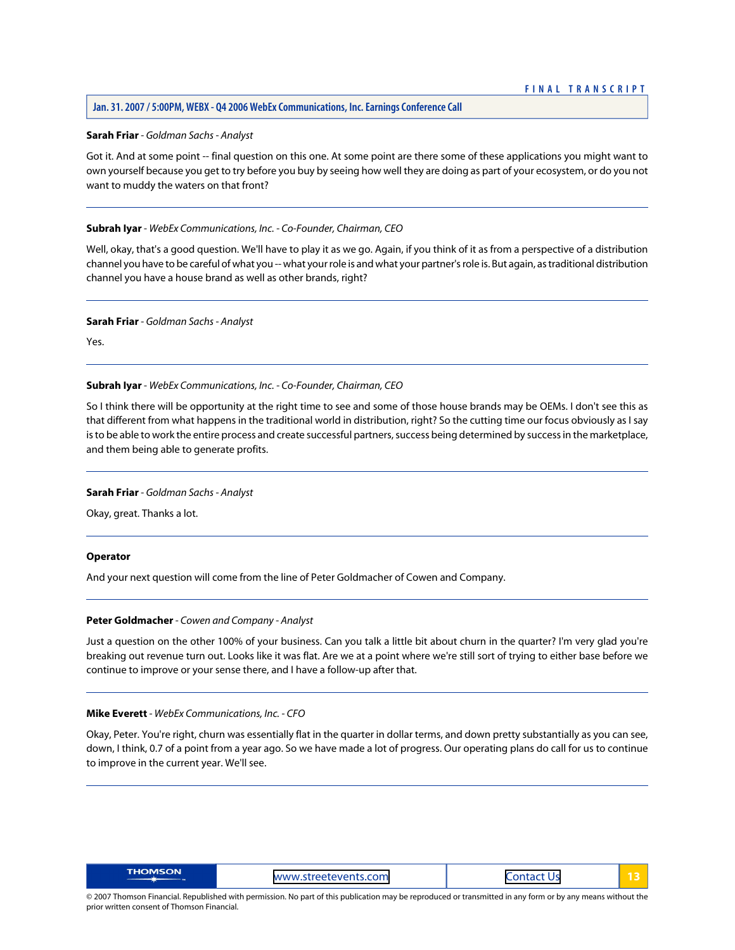#### **Jan. 31. 2007 / 5:00PM, WEBX - Q4 2006 WebEx Communications, Inc. Earnings Conference Call**

#### **Sarah Friar** *- Goldman Sachs - Analyst*

Got it. And at some point -- final question on this one. At some point are there some of these applications you might want to own yourself because you get to try before you buy by seeing how well they are doing as part of your ecosystem, or do you not want to muddy the waters on that front?

#### **Subrah Iyar** *- WebEx Communications, Inc. - Co-Founder, Chairman, CEO*

Well, okay, that's a good question. We'll have to play it as we go. Again, if you think of it as from a perspective of a distribution channel you have to be careful of what you -- what your role is and what your partner's role is. But again, as traditional distribution channel you have a house brand as well as other brands, right?

#### **Sarah Friar** *- Goldman Sachs - Analyst*

Yes.

#### **Subrah Iyar** *- WebEx Communications, Inc. - Co-Founder, Chairman, CEO*

So I think there will be opportunity at the right time to see and some of those house brands may be OEMs. I don't see this as that different from what happens in the traditional world in distribution, right? So the cutting time our focus obviously as I say is to be able to work the entire process and create successful partners, success being determined by success in the marketplace, and them being able to generate profits.

#### **Sarah Friar** *- Goldman Sachs - Analyst*

Okay, great. Thanks a lot.

#### <span id="page-13-0"></span>**Operator**

And your next question will come from the line of Peter Goldmacher of Cowen and Company.

# **Peter Goldmacher** *- Cowen and Company - Analyst*

Just a question on the other 100% of your business. Can you talk a little bit about churn in the quarter? I'm very glad you're breaking out revenue turn out. Looks like it was flat. Are we at a point where we're still sort of trying to either base before we continue to improve or your sense there, and I have a follow-up after that.

#### **Mike Everett** *- WebEx Communications, Inc. - CFO*

Okay, Peter. You're right, churn was essentially flat in the quarter in dollar terms, and down pretty substantially as you can see, down, I think, 0.7 of a point from a year ago. So we have made a lot of progress. Our operating plans do call for us to continue to improve in the current year. We'll see.

| <b>THOMSON</b><br>.streetevents.com<br><b>MANALLY</b><br>U٢<br>sifeeteven!!!<br>_________<br>_ _ _ _ _ _ _ _ |  |
|--------------------------------------------------------------------------------------------------------------|--|
|--------------------------------------------------------------------------------------------------------------|--|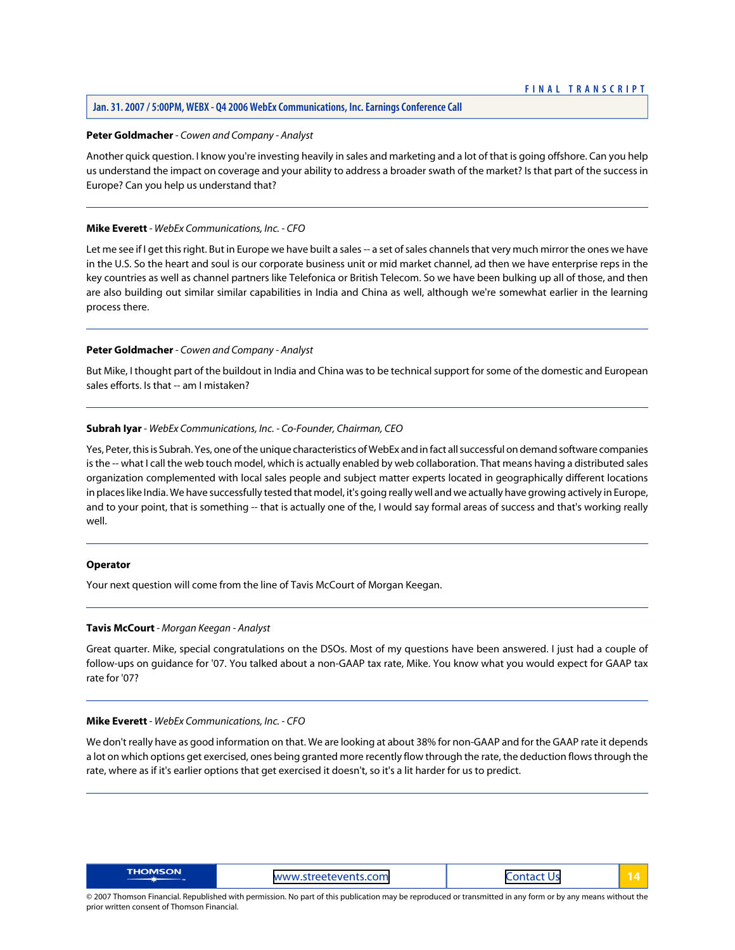#### **Jan. 31. 2007 / 5:00PM, WEBX - Q4 2006 WebEx Communications, Inc. Earnings Conference Call**

#### **Peter Goldmacher** *- Cowen and Company - Analyst*

Another quick question. I know you're investing heavily in sales and marketing and a lot of that is going offshore. Can you help us understand the impact on coverage and your ability to address a broader swath of the market? Is that part of the success in Europe? Can you help us understand that?

#### **Mike Everett** *- WebEx Communications, Inc. - CFO*

Let me see if I get this right. But in Europe we have built a sales -- a set of sales channels that very much mirror the ones we have in the U.S. So the heart and soul is our corporate business unit or mid market channel, ad then we have enterprise reps in the key countries as well as channel partners like Telefonica or British Telecom. So we have been bulking up all of those, and then are also building out similar similar capabilities in India and China as well, although we're somewhat earlier in the learning process there.

#### **Peter Goldmacher** *- Cowen and Company - Analyst*

But Mike, I thought part of the buildout in India and China was to be technical support for some of the domestic and European sales efforts. Is that -- am I mistaken?

#### **Subrah Iyar** *- WebEx Communications, Inc. - Co-Founder, Chairman, CEO*

Yes, Peter, this is Subrah. Yes, one of the unique characteristics of WebEx and in fact all successful on demand software companies is the -- what I call the web touch model, which is actually enabled by web collaboration. That means having a distributed sales organization complemented with local sales people and subject matter experts located in geographically different locations in places like India. We have successfully tested that model, it's going really well and we actually have growing actively in Europe, and to your point, that is something -- that is actually one of the, I would say formal areas of success and that's working really well.

#### <span id="page-14-0"></span>**Operator**

Your next question will come from the line of Tavis McCourt of Morgan Keegan.

#### **Tavis McCourt** *- Morgan Keegan - Analyst*

Great quarter. Mike, special congratulations on the DSOs. Most of my questions have been answered. I just had a couple of follow-ups on guidance for '07. You talked about a non-GAAP tax rate, Mike. You know what you would expect for GAAP tax rate for '07?

#### **Mike Everett** *- WebEx Communications, Inc. - CFO*

We don't really have as good information on that. We are looking at about 38% for non-GAAP and for the GAAP rate it depends a lot on which options get exercised, ones being granted more recently flow through the rate, the deduction flows through the rate, where as if it's earlier options that get exercised it doesn't, so it's a lit harder for us to predict.

| <b>THOMSON</b><br>$+$ cano<br>.<br>-------------<br><u>WWW.</u><br>TAATAVAI<br>OH.<br>_____<br>__ |  |
|---------------------------------------------------------------------------------------------------|--|
|---------------------------------------------------------------------------------------------------|--|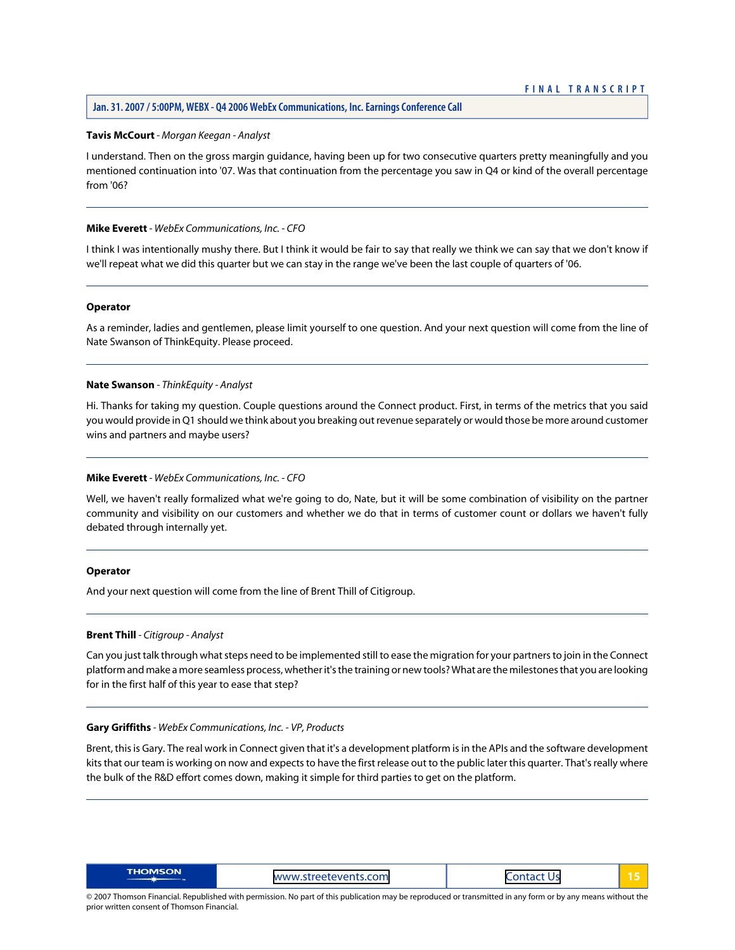#### **Tavis McCourt** *- Morgan Keegan - Analyst*

I understand. Then on the gross margin guidance, having been up for two consecutive quarters pretty meaningfully and you mentioned continuation into '07. Was that continuation from the percentage you saw in Q4 or kind of the overall percentage from '06?

#### **Mike Everett** *- WebEx Communications, Inc. - CFO*

I think I was intentionally mushy there. But I think it would be fair to say that really we think we can say that we don't know if we'll repeat what we did this quarter but we can stay in the range we've been the last couple of quarters of '06.

#### **Operator**

<span id="page-15-0"></span>As a reminder, ladies and gentlemen, please limit yourself to one question. And your next question will come from the line of Nate Swanson of ThinkEquity. Please proceed.

#### **Nate Swanson** *- ThinkEquity - Analyst*

Hi. Thanks for taking my question. Couple questions around the Connect product. First, in terms of the metrics that you said you would provide in Q1 should we think about you breaking out revenue separately or would those be more around customer wins and partners and maybe users?

#### **Mike Everett** *- WebEx Communications, Inc. - CFO*

Well, we haven't really formalized what we're going to do, Nate, but it will be some combination of visibility on the partner community and visibility on our customers and whether we do that in terms of customer count or dollars we haven't fully debated through internally yet.

#### <span id="page-15-1"></span>**Operator**

And your next question will come from the line of Brent Thill of Citigroup.

#### **Brent Thill** *- Citigroup - Analyst*

Can you just talk through what steps need to be implemented still to ease the migration for your partners to join in the Connect platform and make a more seamless process, whether it's the training or new tools? What are the milestones that you are looking for in the first half of this year to ease that step?

#### **Gary Griffiths** *- WebEx Communications, Inc. - VP, Products*

Brent, this is Gary. The real work in Connect given that it's a development platform is in the APIs and the software development kits that our team is working on now and expects to have the first release out to the public later this quarter. That's really where the bulk of the R&D effort comes down, making it simple for third parties to get on the platform.

| <b>THOMSON</b><br>ts.com<br><b><i>MANAI</i></b><br>$\mathbf{H}$<br>700<br>_ _ _ _ _ _<br>__ |  |
|---------------------------------------------------------------------------------------------|--|
|---------------------------------------------------------------------------------------------|--|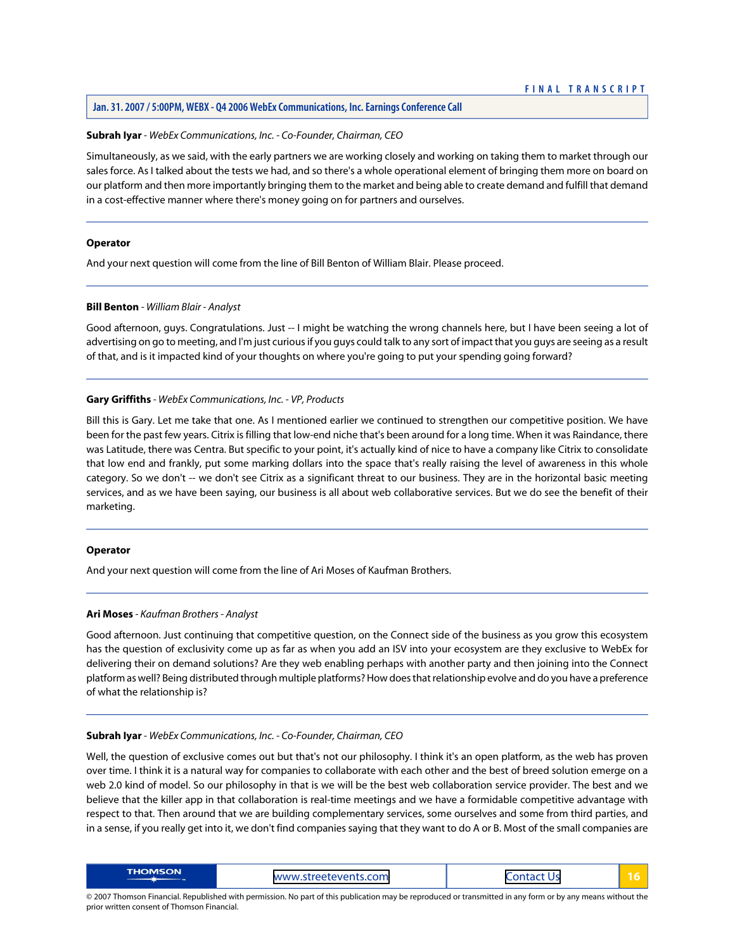#### **Subrah Iyar** *- WebEx Communications, Inc. - Co-Founder, Chairman, CEO*

Simultaneously, as we said, with the early partners we are working closely and working on taking them to market through our sales force. As I talked about the tests we had, and so there's a whole operational element of bringing them more on board on our platform and then more importantly bringing them to the market and being able to create demand and fulfill that demand in a cost-effective manner where there's money going on for partners and ourselves.

#### **Operator**

<span id="page-16-0"></span>And your next question will come from the line of Bill Benton of William Blair. Please proceed.

#### **Bill Benton** *- William Blair - Analyst*

Good afternoon, guys. Congratulations. Just -- I might be watching the wrong channels here, but I have been seeing a lot of advertising on go to meeting, and I'm just curious if you guys could talk to any sort of impact that you guys are seeing as a result of that, and is it impacted kind of your thoughts on where you're going to put your spending going forward?

#### **Gary Griffiths** *- WebEx Communications, Inc. - VP, Products*

Bill this is Gary. Let me take that one. As I mentioned earlier we continued to strengthen our competitive position. We have been for the past few years. Citrix is filling that low-end niche that's been around for a long time. When it was Raindance, there was Latitude, there was Centra. But specific to your point, it's actually kind of nice to have a company like Citrix to consolidate that low end and frankly, put some marking dollars into the space that's really raising the level of awareness in this whole category. So we don't -- we don't see Citrix as a significant threat to our business. They are in the horizontal basic meeting services, and as we have been saying, our business is all about web collaborative services. But we do see the benefit of their marketing.

#### <span id="page-16-1"></span>**Operator**

And your next question will come from the line of Ari Moses of Kaufman Brothers.

#### **Ari Moses** *- Kaufman Brothers - Analyst*

Good afternoon. Just continuing that competitive question, on the Connect side of the business as you grow this ecosystem has the question of exclusivity come up as far as when you add an ISV into your ecosystem are they exclusive to WebEx for delivering their on demand solutions? Are they web enabling perhaps with another party and then joining into the Connect platform as well? Being distributed through multiple platforms? How does that relationship evolve and do you have a preference of what the relationship is?

#### **Subrah Iyar** *- WebEx Communications, Inc. - Co-Founder, Chairman, CEO*

Well, the question of exclusive comes out but that's not our philosophy. I think it's an open platform, as the web has proven over time. I think it is a natural way for companies to collaborate with each other and the best of breed solution emerge on a web 2.0 kind of model. So our philosophy in that is we will be the best web collaboration service provider. The best and we believe that the killer app in that collaboration is real-time meetings and we have a formidable competitive advantage with respect to that. Then around that we are building complementary services, some ourselves and some from third parties, and in a sense, if you really get into it, we don't find companies saying that they want to do A or B. Most of the small companies are

| <b>THOMSON</b> | www.streetevents.com | onta<br>I۱<br>L A C<br>__ |  |
|----------------|----------------------|---------------------------|--|
|----------------|----------------------|---------------------------|--|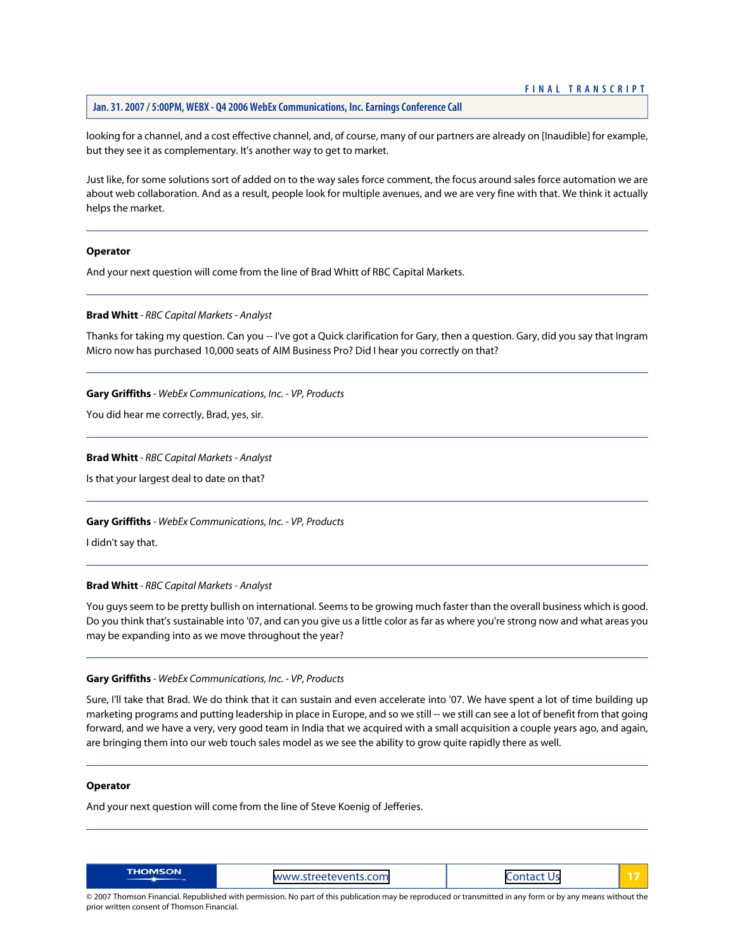#### **Jan. 31. 2007 / 5:00PM, WEBX - Q4 2006 WebEx Communications, Inc. Earnings Conference Call**

looking for a channel, and a cost effective channel, and, of course, many of our partners are already on [Inaudible] for example, but they see it as complementary. It's another way to get to market.

Just like, for some solutions sort of added on to the way sales force comment, the focus around sales force automation we are about web collaboration. And as a result, people look for multiple avenues, and we are very fine with that. We think it actually helps the market.

# **Operator**

<span id="page-17-0"></span>And your next question will come from the line of Brad Whitt of RBC Capital Markets.

# **Brad Whitt** *- RBC Capital Markets - Analyst*

Thanks for taking my question. Can you -- I've got a Quick clarification for Gary, then a question. Gary, did you say that Ingram Micro now has purchased 10,000 seats of AIM Business Pro? Did I hear you correctly on that?

#### **Gary Griffiths** *- WebEx Communications, Inc. - VP, Products*

You did hear me correctly, Brad, yes, sir.

#### **Brad Whitt** *- RBC Capital Markets - Analyst*

Is that your largest deal to date on that?

#### **Gary Griffiths** *- WebEx Communications, Inc. - VP, Products*

I didn't say that.

# **Brad Whitt** *- RBC Capital Markets - Analyst*

You guys seem to be pretty bullish on international. Seems to be growing much faster than the overall business which is good. Do you think that's sustainable into '07, and can you give us a little color as far as where you're strong now and what areas you may be expanding into as we move throughout the year?

# **Gary Griffiths** *- WebEx Communications, Inc. - VP, Products*

Sure, I'll take that Brad. We do think that it can sustain and even accelerate into '07. We have spent a lot of time building up marketing programs and putting leadership in place in Europe, and so we still -- we still can see a lot of benefit from that going forward, and we have a very, very good team in India that we acquired with a small acquisition a couple years ago, and again, are bringing them into our web touch sales model as we see the ability to grow quite rapidly there as well.

#### **Operator**

And your next question will come from the line of Steve Koenig of Jefferies.

| <b>THOMSON</b> | www.streetevents.com<br>____ | ______<br>------<br>U.<br>__<br>_ _ _ _ _ |  |
|----------------|------------------------------|-------------------------------------------|--|
|----------------|------------------------------|-------------------------------------------|--|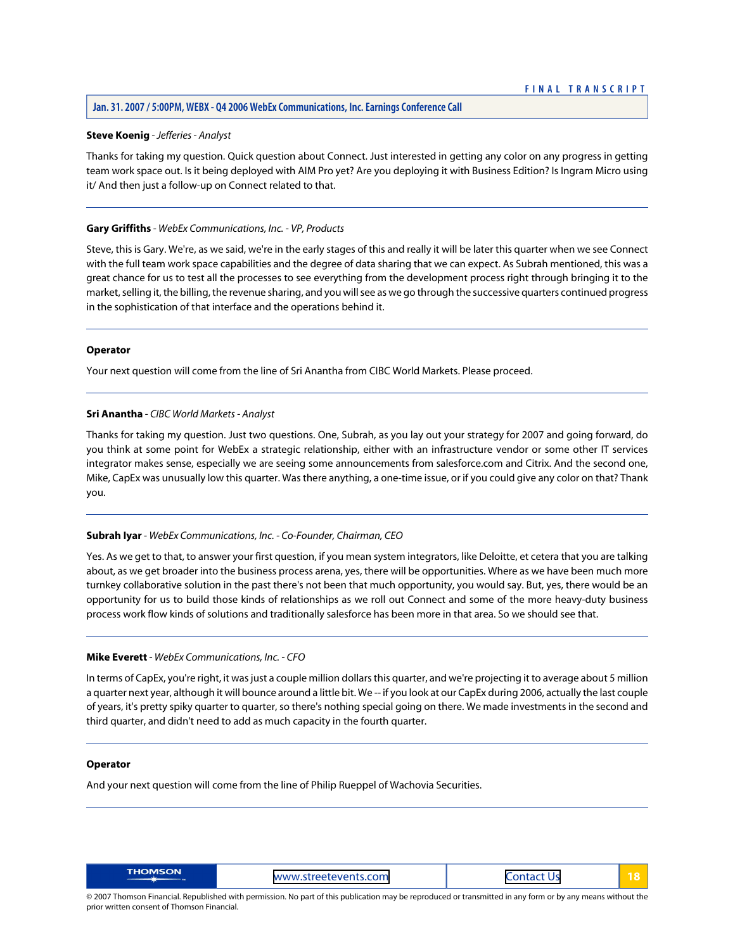#### <span id="page-18-0"></span>**Steve Koenig** *- Jefferies - Analyst*

Thanks for taking my question. Quick question about Connect. Just interested in getting any color on any progress in getting team work space out. Is it being deployed with AIM Pro yet? Are you deploying it with Business Edition? Is Ingram Micro using it/ And then just a follow-up on Connect related to that.

#### **Gary Griffiths** *- WebEx Communications, Inc. - VP, Products*

Steve, this is Gary. We're, as we said, we're in the early stages of this and really it will be later this quarter when we see Connect with the full team work space capabilities and the degree of data sharing that we can expect. As Subrah mentioned, this was a great chance for us to test all the processes to see everything from the development process right through bringing it to the market, selling it, the billing, the revenue sharing, and you will see as we go through the successive quarters continued progress in the sophistication of that interface and the operations behind it.

#### **Operator**

<span id="page-18-1"></span>Your next question will come from the line of Sri Anantha from CIBC World Markets. Please proceed.

#### **Sri Anantha** *- CIBC World Markets - Analyst*

Thanks for taking my question. Just two questions. One, Subrah, as you lay out your strategy for 2007 and going forward, do you think at some point for WebEx a strategic relationship, either with an infrastructure vendor or some other IT services integrator makes sense, especially we are seeing some announcements from salesforce.com and Citrix. And the second one, Mike, CapEx was unusually low this quarter. Was there anything, a one-time issue, or if you could give any color on that? Thank you.

# **Subrah Iyar** *- WebEx Communications, Inc. - Co-Founder, Chairman, CEO*

Yes. As we get to that, to answer your first question, if you mean system integrators, like Deloitte, et cetera that you are talking about, as we get broader into the business process arena, yes, there will be opportunities. Where as we have been much more turnkey collaborative solution in the past there's not been that much opportunity, you would say. But, yes, there would be an opportunity for us to build those kinds of relationships as we roll out Connect and some of the more heavy-duty business process work flow kinds of solutions and traditionally salesforce has been more in that area. So we should see that.

# **Mike Everett** *- WebEx Communications, Inc. - CFO*

In terms of CapEx, you're right, it was just a couple million dollars this quarter, and we're projecting it to average about 5 million a quarter next year, although it will bounce around a little bit. We -- if you look at our CapEx during 2006, actually the last couple of years, it's pretty spiky quarter to quarter, so there's nothing special going on there. We made investments in the second and third quarter, and didn't need to add as much capacity in the fourth quarter.

#### **Operator**

And your next question will come from the line of Philip Rueppel of Wachovia Securities.

| <b>THOMSON</b> | www.streetevents.com | ни |  |
|----------------|----------------------|----|--|
|----------------|----------------------|----|--|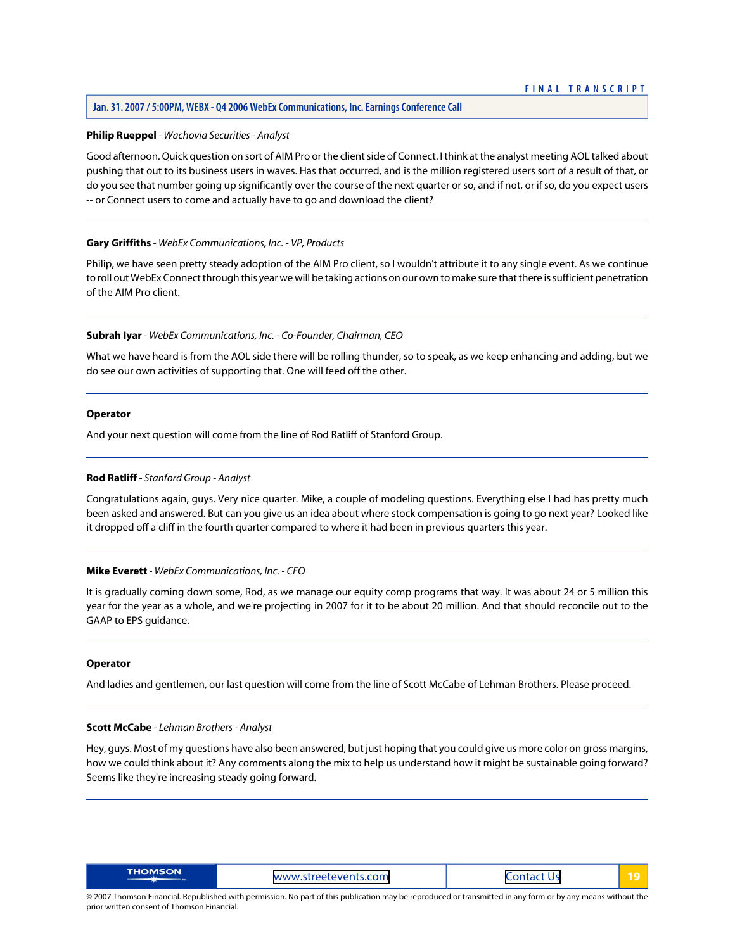#### **Jan. 31. 2007 / 5:00PM, WEBX - Q4 2006 WebEx Communications, Inc. Earnings Conference Call**

#### <span id="page-19-0"></span>**Philip Rueppel** *- Wachovia Securities - Analyst*

Good afternoon. Quick question on sort of AIM Pro or the client side of Connect. I think at the analyst meeting AOL talked about pushing that out to its business users in waves. Has that occurred, and is the million registered users sort of a result of that, or do you see that number going up significantly over the course of the next quarter or so, and if not, or if so, do you expect users -- or Connect users to come and actually have to go and download the client?

#### **Gary Griffiths** *- WebEx Communications, Inc. - VP, Products*

Philip, we have seen pretty steady adoption of the AIM Pro client, so I wouldn't attribute it to any single event. As we continue to roll out WebEx Connect through this year we will be taking actions on our own to make sure that there is sufficient penetration of the AIM Pro client.

# **Subrah Iyar** *- WebEx Communications, Inc. - Co-Founder, Chairman, CEO*

What we have heard is from the AOL side there will be rolling thunder, so to speak, as we keep enhancing and adding, but we do see our own activities of supporting that. One will feed off the other.

#### **Operator**

<span id="page-19-1"></span>And your next question will come from the line of Rod Ratliff of Stanford Group.

#### **Rod Ratliff** *- Stanford Group - Analyst*

Congratulations again, guys. Very nice quarter. Mike, a couple of modeling questions. Everything else I had has pretty much been asked and answered. But can you give us an idea about where stock compensation is going to go next year? Looked like it dropped off a cliff in the fourth quarter compared to where it had been in previous quarters this year.

#### **Mike Everett** *- WebEx Communications, Inc. - CFO*

It is gradually coming down some, Rod, as we manage our equity comp programs that way. It was about 24 or 5 million this year for the year as a whole, and we're projecting in 2007 for it to be about 20 million. And that should reconcile out to the GAAP to EPS guidance.

#### <span id="page-19-2"></span>**Operator**

And ladies and gentlemen, our last question will come from the line of Scott McCabe of Lehman Brothers. Please proceed.

#### **Scott McCabe** *- Lehman Brothers - Analyst*

Hey, guys. Most of my questions have also been answered, but just hoping that you could give us more color on gross margins, how we could think about it? Any comments along the mix to help us understand how it might be sustainable going forward? Seems like they're increasing steady going forward.

| <b>THOMSON</b><br>ts.com<br><b>MANA/M</b><br>$\overline{\mathbf{u}}$<br>.<br>_ _ _ _ _ _ | __ |
|------------------------------------------------------------------------------------------|----|
|------------------------------------------------------------------------------------------|----|